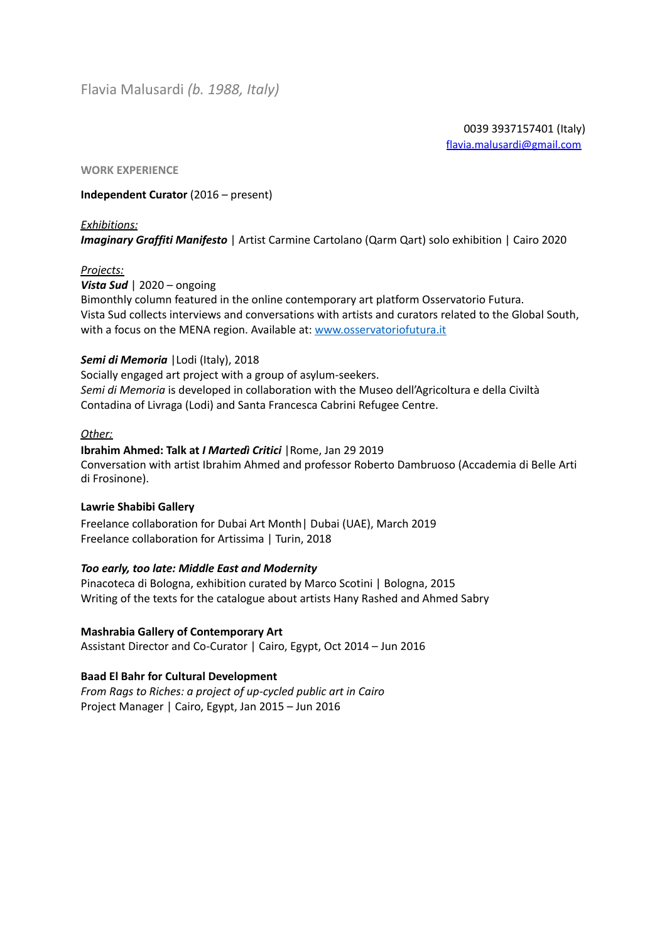0039 3937157401 (Italy) [flavia.malusardi@gmail.com](mailto:flavia.malusardi@gmail.com)

#### **WORK EXPERIENCE**

# **Independent Curator** (2016 – present)

#### *Exhibitions:*

*Imaginary Graffiti Manifesto* | Artist Carmine Cartolano (Qarm Qart) solo exhibition | Cairo 2020

# *Projects:*

*Vista Sud* | 2020 – ongoing

Bimonthly column featured in the online contemporary art platform Osservatorio Futura. Vista Sud collects interviews and conversations with artists and curators related to the Global South, with a focus on the MENA region. Available at: [www.osservatoriofutura.it](http://www.osservatoriofutura.it/)

# *Semi di Memoria* |Lodi (Italy), 2018

Socially engaged art project with a group of asylum-seekers. *Semi di Memoria* is developed in collaboration with the Museo dell'Agricoltura e della Civiltà Contadina of Livraga (Lodi) and Santa Francesca Cabrini Refugee Centre.

# *Other:*

#### **Ibrahim Ahmed: Talk at** *I Martedì Critici* |Rome, Jan 29 2019

Conversation with artist Ibrahim Ahmed and professor Roberto Dambruoso (Accademia di Belle Arti di Frosinone).

# **Lawrie Shabibi Gallery**

Freelance collaboration for Dubai Art Month| Dubai (UAE), March 2019 Freelance collaboration for Artissima | Turin, 2018

# *Too early, too late: Middle East and Modernity*

Pinacoteca di Bologna, exhibition curated by Marco Scotini | Bologna, 2015 Writing of the texts for the catalogue about artists Hany Rashed and Ahmed Sabry

# **Mashrabia Gallery of Contemporary Art**

Assistant Director and Co-Curator | Cairo, Egypt, Oct 2014 – Jun 2016

# **Baad El Bahr for Cultural Development**

*From Rags to Riches: a project of up-cycled public art in Cairo* Project Manager | Cairo, Egypt, Jan 2015 – Jun 2016